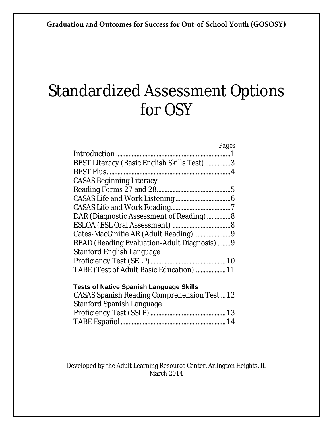# Standardized Assessment Options for OSY

| Pages                                              |
|----------------------------------------------------|
|                                                    |
| BEST Literacy (Basic English Skills Test) 3        |
|                                                    |
| <b>CASAS Beginning Literacy</b>                    |
|                                                    |
|                                                    |
|                                                    |
| DAR (Diagnostic Assessment of Reading) 8           |
|                                                    |
|                                                    |
| READ (Reading Evaluation-Adult Diagnosis)  9       |
| <b>Stanford English Language</b>                   |
|                                                    |
| TABE (Test of Adult Basic Education)  11           |
| <b>Tests of Native Spanish Language Skills</b>     |
| <b>CASAS Spanish Reading Comprehension Test 12</b> |
| <b>Stanford Spanish Language</b>                   |
|                                                    |
|                                                    |

Developed by the Adult Learning Resource Center, Arlington Heights, IL March 2014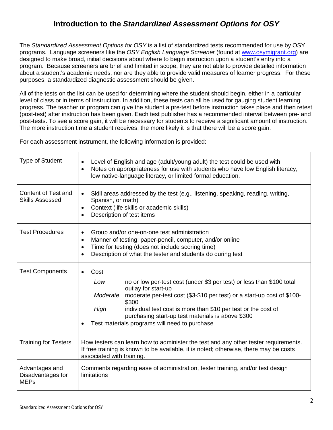# **Introduction to the** *Standardized Assessment Options for OSY*

The *Standardized Assessment Options for OSY* is a list of standardized tests recommended for use by OSY programs. Language screeners like the *OSY English Language Screener* (found at www.osymigrant.org) are designed to make broad, initial decisions about where to begin instruction upon a student's entry into a program. Because screeners are brief and limited in scope, they are not able to provide detailed information about a student's academic needs, nor are they able to provide valid measures of learner progress. For these purposes, a standardized diagnostic assessment should be given.

All of the tests on the list can be used for determining where the student should begin, either in a particular level of class or in terms of instruction. In addition, these tests can all be used for gauging student learning progress. The teacher or program can give the student a pre-test before instruction takes place and then retest (post-test) after instruction has been given. Each test publisher has a recommended interval between pre- and post-tests. To see a score gain, it will be necessary for students to receive a significant amount of instruction. The more instruction time a student receives, the more likely it is that there will be a score gain.

For each assessment instrument, the following information is provided:

| <b>Type of Student</b>                             | Level of English and age (adult/young adult) the test could be used with<br>Notes on appropriateness for use with students who have low English literacy,<br>$\bullet$<br>low native-language literacy, or limited formal education.                                                                                                                                                        |  |  |  |
|----------------------------------------------------|---------------------------------------------------------------------------------------------------------------------------------------------------------------------------------------------------------------------------------------------------------------------------------------------------------------------------------------------------------------------------------------------|--|--|--|
| Content of Test and<br><b>Skills Assessed</b>      | Skill areas addressed by the test (e.g., listening, speaking, reading, writing,<br>$\bullet$<br>Spanish, or math)<br>Context (life skills or academic skills)<br>$\bullet$<br>Description of test items<br>$\bullet$                                                                                                                                                                        |  |  |  |
| <b>Test Procedures</b>                             | Group and/or one-on-one test administration<br>$\bullet$<br>Manner of testing: paper-pencil, computer, and/or online<br>$\bullet$<br>Time for testing (does not include scoring time)<br>$\bullet$<br>Description of what the tester and students do during test                                                                                                                            |  |  |  |
| <b>Test Components</b>                             | Cost<br>no or low per-test cost (under \$3 per test) or less than \$100 total<br>Low<br>outlay for start-up<br>Moderate<br>moderate per-test cost (\$3-\$10 per test) or a start-up cost of \$100-<br>\$300<br>individual test cost is more than \$10 per test or the cost of<br>High<br>purchasing start-up test materials is above \$300<br>Test materials programs will need to purchase |  |  |  |
| <b>Training for Testers</b>                        | How testers can learn how to administer the test and any other tester requirements.<br>If free training is known to be available, it is noted; otherwise, there may be costs<br>associated with training.                                                                                                                                                                                   |  |  |  |
| Advantages and<br>Disadvantages for<br><b>MEPs</b> | Comments regarding ease of administration, tester training, and/or test design<br>limitations                                                                                                                                                                                                                                                                                               |  |  |  |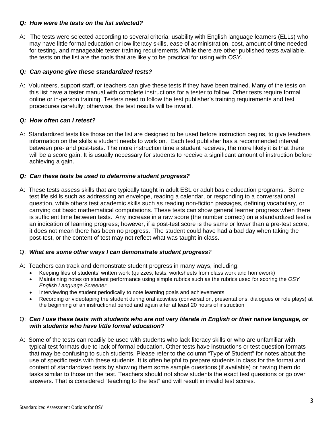#### *Q: How were the tests on the list selected?*

A: The tests were selected according to several criteria: usability with English language learners (ELLs) who may have little formal education or low literacy skills, ease of administration, cost, amount of time needed for testing, and manageable tester training requirements. While there are other published tests available, the tests on the list are the tools that are likely to be practical for using with OSY.

#### *Q: Can anyone give these standardized tests?*

A: Volunteers, support staff, or teachers can give these tests if they have been trained. Many of the tests on this list have a tester manual with complete instructions for a tester to follow. Other tests require formal online or in-person training. Testers need to follow the test publisher's training requirements and test procedures carefully; otherwise, the test results will be invalid.

#### *Q: How often can I retest?*

A: Standardized tests like those on the list are designed to be used before instruction begins, to give teachers information on the skills a student needs to work on. Each test publisher has a recommended interval between pre- and post-tests. The more instruction time a student receives, the more likely it is that there will be a score gain. It is usually necessary for students to receive a significant amount of instruction before achieving a gain.

#### *Q: Can these tests be used to determine student progress?*

A: These tests assess skills that are typically taught in adult ESL or adult basic education programs. Some test life skills such as addressing an envelope, reading a calendar, or responding to a conversational question, while others test academic skills such as reading non-fiction passages, defining vocabulary, or carrying out basic mathematical computations. These tests can show general learner progress when there is sufficient time between tests. Any increase in a raw score (the number correct) on a standardized test is an indication of learning progress; however, if a post-test score is the same or lower than a pre-test score, it does not mean there has been no progress. The student could have had a bad day when taking the post-test, or the content of test may not reflect what was taught in class.

#### Q: *What are some other ways I can demonstrate student progress?*

- A: Teachers can track and demonstrate student progress in many ways, including:
	- Keeping files of students' written work (quizzes, tests, worksheets from class work and homework)
	- Maintaining notes on student performance using simple rubrics such as the rubrics used for scoring the *OSY English Language Screener*
	- Interviewing the student periodically to note learning goals and achievements
	- Recording or videotaping the student during oral activities (conversation, presentations, dialogues or role plays) at the beginning of an instructional period and again after at least 20 hours of instruction

#### Q: *Can I use these tests with students who are not very literate in English or their native language, or with students who have little formal education?*

A: Some of the tests can readily be used with students who lack literacy skills or who are unfamiliar with typical test formats due to lack of formal education. Other tests have instructions or test question formats that may be confusing to such students. Please refer to the column "Type of Student" for notes about the use of specific tests with these students. It is often helpful to prepare students in class for the format and content of standardized tests by showing them some sample questions (if available) or having them do tasks similar to those on the test. Teachers should not show students the exact test questions or go over answers. That is considered "teaching to the test" and will result in invalid test scores.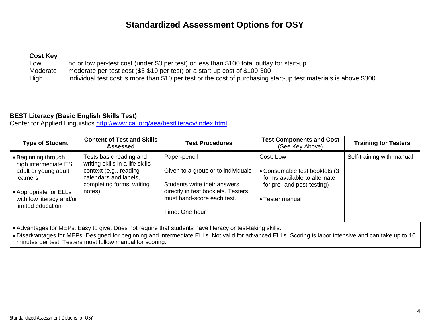# **Standardized Assessment Options for OSY**

#### **Cost Key**

Low no or low per-test cost (under \$3 per test) or less than \$100 total outlay for start-up Moderate moderate per-test cost (\$3-\$10 per test) or a start-up cost of \$100-300 High individual test cost is more than \$10 per test or the cost of purchasing start-up test materials is above \$300

#### **BEST Literacy (Basic English Skills Test)**

Center for Applied Linguistics http://www.cal.org/aea/bestliteracy/index.html

| <b>Type of Student</b>                                                                                                                                      | <b>Content of Test and Skills</b><br>Assessed                                                                                                        | <b>Test Procedures</b>                                                                                                                                                   | <b>Test Components and Cost</b><br>(See Key Above)                                                                           | <b>Training for Testers</b> |
|-------------------------------------------------------------------------------------------------------------------------------------------------------------|------------------------------------------------------------------------------------------------------------------------------------------------------|--------------------------------------------------------------------------------------------------------------------------------------------------------------------------|------------------------------------------------------------------------------------------------------------------------------|-----------------------------|
| • Beginning through<br>high intermediate ESL<br>adult or young adult<br>learners<br>• Appropriate for ELLs<br>with low literacy and/or<br>limited education | Tests basic reading and<br>writing skills in a life skills<br>context (e.g., reading<br>calendars and labels,<br>completing forms, writing<br>notes) | Paper-pencil<br>Given to a group or to individuals<br>Students write their answers<br>directly in test booklets. Testers<br>must hand-score each test.<br>Time: One hour | Cost: Low<br>• Consumable test booklets (3)<br>forms available to alternate<br>for pre- and post-testing)<br>• Tester manual | Self-training with manual   |

Advantages for MEPs: Easy to give. Does not require that students have literacy or test-taking skills.

 Disadvantages for MEPs: Designed for beginning and intermediate ELLs. Not valid for advanced ELLs. Scoring is labor intensive and can take up to 10 minutes per test. Testers must follow manual for scoring.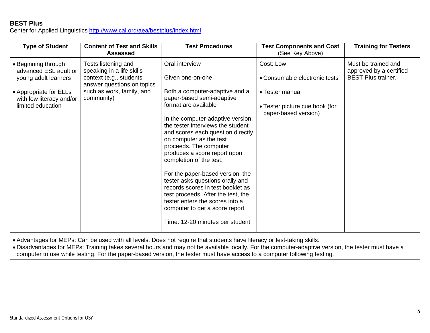## **BEST Plus**

Center for Applied Linguistics http://www.cal.org/aea/bestplus/index.html

| <b>Type of Student</b>                                                                                                                          | <b>Content of Test and Skills</b><br><b>Assessed</b>                                                                                                 | <b>Test Procedures</b>                                                                                                                                                                                                                                                                                                                                                                                                                                                                                                                                                                                               | <b>Test Components and Cost</b><br>(See Key Above)                                                                      | <b>Training for Testers</b>                                                 |
|-------------------------------------------------------------------------------------------------------------------------------------------------|------------------------------------------------------------------------------------------------------------------------------------------------------|----------------------------------------------------------------------------------------------------------------------------------------------------------------------------------------------------------------------------------------------------------------------------------------------------------------------------------------------------------------------------------------------------------------------------------------------------------------------------------------------------------------------------------------------------------------------------------------------------------------------|-------------------------------------------------------------------------------------------------------------------------|-----------------------------------------------------------------------------|
| • Beginning through<br>advanced ESL adult or<br>young adult learners<br>• Appropriate for ELLs<br>with low literacy and/or<br>limited education | Tests listening and<br>speaking in a life skills<br>context (e.g., students<br>answer questions on topics<br>such as work, family, and<br>community) | Oral interview<br>Given one-on-one<br>Both a computer-adaptive and a<br>paper-based semi-adaptive<br>format are available<br>In the computer-adaptive version,<br>the tester interviews the student<br>and scores each question directly<br>on computer as the test<br>proceeds. The computer<br>produces a score report upon<br>completion of the test.<br>For the paper-based version, the<br>tester asks questions orally and<br>records scores in test booklet as<br>test proceeds. After the test, the<br>tester enters the scores into a<br>computer to get a score report.<br>Time: 12-20 minutes per student | Cost: Low<br>• Consumable electronic tests<br>• Tester manual<br>• Tester picture cue book (for<br>paper-based version) | Must be trained and<br>approved by a certified<br><b>BEST Plus trainer.</b> |

Advantages for MEPs: Can be used with all levels. Does not require that students have literacy or test-taking skills.

 Disadvantages for MEPs: Training takes several hours and may not be available locally. For the computer-adaptive version, the tester must have a computer to use while testing. For the paper-based version, the tester must have access to a computer following testing.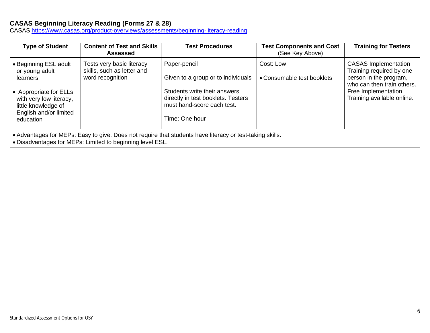## **CASAS Beginning Literacy Reading (Forms 27 & 28)**

CASAS https://www.casas.org/product-overviews/assessments/beginning-literacy-reading

| <b>Type of Student</b>                                                                                                                                                 | <b>Content of Test and Skills</b><br><b>Assessed</b>                        | <b>Test Procedures</b>                                                                                                                                                   | <b>Test Components and Cost</b><br>(See Key Above) | <b>Training for Testers</b>                                                                                                                                          |  |
|------------------------------------------------------------------------------------------------------------------------------------------------------------------------|-----------------------------------------------------------------------------|--------------------------------------------------------------------------------------------------------------------------------------------------------------------------|----------------------------------------------------|----------------------------------------------------------------------------------------------------------------------------------------------------------------------|--|
| • Beginning ESL adult<br>or young adult<br>learners<br>• Appropriate for ELLs<br>with very low literacy,<br>little knowledge of<br>English and/or limited<br>education | Tests very basic literacy<br>skills, such as letter and<br>word recognition | Paper-pencil<br>Given to a group or to individuals<br>Students write their answers<br>directly in test booklets. Testers<br>must hand-score each test.<br>Time: One hour | Cost: Low<br>• Consumable test booklets            | <b>CASAS Implementation</b><br>Training required by one<br>person in the program,<br>who can then train others.<br>Free Implementation<br>Training available online. |  |
| • Advantages for MEPs: Easy to give. Does not require that students have literacy or test-taking skills.<br>Disadvantages for MEDs: Limited to beginning lovel FCL     |                                                                             |                                                                                                                                                                          |                                                    |                                                                                                                                                                      |  |

Disadvantages for MEPs: Limited to beginning level ESL.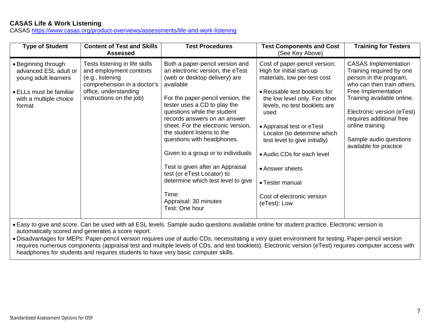## **CASAS Life & Work Listening**

CASAS https://www.casas.org/product-overviews/assessments/life-and-work-listening

| <b>Type of Student</b>                                                                                                              | <b>Content of Test and Skills</b><br><b>Assessed</b>                                                                                                              | <b>Test Procedures</b>                                                                                                                                                                                                                                                                                                                                                                                                                                                                                                                                    | <b>Test Components and Cost</b><br>(See Key Above)                                                                                                                                                                                                                                                                                                                                                                 | <b>Training for Testers</b>                                                                                                                                                                                                                                                                           |
|-------------------------------------------------------------------------------------------------------------------------------------|-------------------------------------------------------------------------------------------------------------------------------------------------------------------|-----------------------------------------------------------------------------------------------------------------------------------------------------------------------------------------------------------------------------------------------------------------------------------------------------------------------------------------------------------------------------------------------------------------------------------------------------------------------------------------------------------------------------------------------------------|--------------------------------------------------------------------------------------------------------------------------------------------------------------------------------------------------------------------------------------------------------------------------------------------------------------------------------------------------------------------------------------------------------------------|-------------------------------------------------------------------------------------------------------------------------------------------------------------------------------------------------------------------------------------------------------------------------------------------------------|
| • Beginning through<br>advanced ESL adult or<br>young adult learners<br>• ELLs must be familiar<br>with a multiple choice<br>format | Tests listening in life skills<br>and employment contexts<br>(e.g., listening<br>comprehension in a doctor's<br>office, understanding<br>instructions on the job) | Both a paper-pencil version and<br>an electronic version, the eTest<br>(web or desktop delivery) are<br>available<br>For the paper-pencil version, the<br>tester uses a CD to play the<br>questions while the student<br>records answers on an answer<br>sheet. For the electronic version,<br>the student listens to the<br>questions with headphones.<br>Given to a group or to individuals<br>Test is given after an Appraisal<br>test (or eTest Locator) to<br>determine which test level to give<br>Time:<br>Appraisal: 30 minutes<br>Test: One hour | Cost of paper-pencil version:<br>High for initial start-up<br>materials, low per-test cost<br>• Reusable test booklets for<br>the low level only. For other<br>levels, no test booklets are<br>used<br>• Appraisal test or eTest<br>Locator (to determine which<br>test level to give initially)<br>• Audio CDs for each level<br>• Answer sheets<br>• Tester manual<br>Cost of electronic version<br>(eTest): Low | <b>CASAS Implementation</b><br>Training required by one<br>person in the program,<br>who can then train others.<br>Free Implementation<br>Training available online.<br>Electronic version (eTest)<br>requires additional free<br>online training<br>Sample audio questions<br>available for practice |

 Easy to give and score. Can be used with all ESL levels. Sample audio questions available online for student practice. Electronic version is automatically scored and generates a score report.

 Disadvantages for MEPs: Paper-pencil version requires use of audio CDs, necessitating a very quiet environment for testing. Paper-pencil version requires numerous components (appraisal test and multiple levels of CDs, and test booklets). Electronic version (eTest) requires computer access with headphones for students and requires students to have very basic computer skills.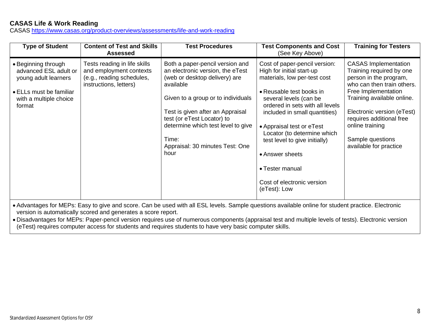## **CASAS Life & Work Reading**

CASAS https://www.casas.org/product-overviews/assessments/life-and-work-reading

| <b>Type of Student</b>                                                                                                              | <b>Content of Test and Skills</b><br><b>Assessed</b>                                                           | <b>Test Procedures</b>                                                                                                                                                                                                                                                                                              | <b>Test Components and Cost</b><br>(See Key Above)                                                                                                                                                                                                                                                                                                                                                    | <b>Training for Testers</b>                                                                                                                                                                                                                                                                     |
|-------------------------------------------------------------------------------------------------------------------------------------|----------------------------------------------------------------------------------------------------------------|---------------------------------------------------------------------------------------------------------------------------------------------------------------------------------------------------------------------------------------------------------------------------------------------------------------------|-------------------------------------------------------------------------------------------------------------------------------------------------------------------------------------------------------------------------------------------------------------------------------------------------------------------------------------------------------------------------------------------------------|-------------------------------------------------------------------------------------------------------------------------------------------------------------------------------------------------------------------------------------------------------------------------------------------------|
| • Beginning through<br>advanced ESL adult or<br>young adult learners<br>• ELLs must be familiar<br>with a multiple choice<br>format | Tests reading in life skills<br>and employment contexts<br>(e.g., reading schedules,<br>instructions, letters) | Both a paper-pencil version and<br>an electronic version, the eTest<br>(web or desktop delivery) are<br>available<br>Given to a group or to individuals<br>Test is given after an Appraisal<br>test (or eTest Locator) to<br>determine which test level to give<br>Time:<br>Appraisal: 30 minutes Test: One<br>hour | Cost of paper-pencil version:<br>High for initial start-up<br>materials, low per-test cost<br>• Reusable test books in<br>several levels (can be<br>ordered in sets with all levels<br>included in small quantities)<br>• Appraisal test or eTest<br>Locator (to determine which<br>test level to give initially)<br>• Answer sheets<br>• Tester manual<br>Cost of electronic version<br>(eTest): Low | <b>CASAS Implementation</b><br>Training required by one<br>person in the program,<br>who can then train others.<br>Free Implementation<br>Training available online.<br>Electronic version (eTest)<br>requires additional free<br>online training<br>Sample questions<br>available for practice |
|                                                                                                                                     |                                                                                                                | Advantages for MEDs: Fooute sive and seem. Can he used with all FOL loyale. Comple questions quailable enline for student prostice. Flectronic                                                                                                                                                                      |                                                                                                                                                                                                                                                                                                                                                                                                       |                                                                                                                                                                                                                                                                                                 |

 Advantages for MEPs: Easy to give and score. Can be used with all ESL levels. Sample questions available online for student practice. Electronic version is automatically scored and generates a score report.

 Disadvantages for MEPs: Paper-pencil version requires use of numerous components (appraisal test and multiple levels of tests). Electronic version (eTest) requires computer access for students and requires students to have very basic computer skills.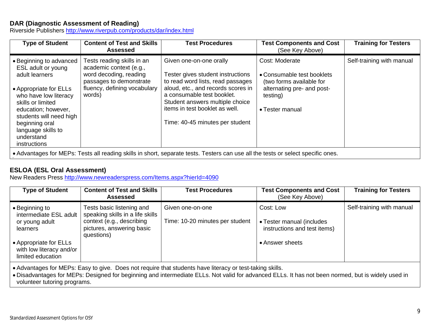#### **DAR (Diagnostic Assessment of Reading)**

Riverside Publishers http://www.riverpub.com/products/dar/index.html

| <b>Type of Student</b>                                                                                                                                                                                                                                          | <b>Content of Test and Skills</b><br><b>Assessed</b>                                                                                                 | <b>Test Procedures</b>                                                                                                                                                                                                                                                        | <b>Test Components and Cost</b><br>(See Key Above)                                                                                    | <b>Training for Testers</b> |
|-----------------------------------------------------------------------------------------------------------------------------------------------------------------------------------------------------------------------------------------------------------------|------------------------------------------------------------------------------------------------------------------------------------------------------|-------------------------------------------------------------------------------------------------------------------------------------------------------------------------------------------------------------------------------------------------------------------------------|---------------------------------------------------------------------------------------------------------------------------------------|-----------------------------|
| • Beginning to advanced<br>ESL adult or young<br>adult learners<br>• Appropriate for ELLs<br>who have low literacy<br>skills or limited<br>education; however,<br>students will need high<br>beginning oral<br>language skills to<br>understand<br>instructions | Tests reading skills in an<br>academic context (e.g.,<br>word decoding, reading<br>passages to demonstrate<br>fluency, defining vocabulary<br>words) | Given one-on-one orally<br>Tester gives student instructions<br>to read word lists, read passages<br>aloud, etc., and records scores in<br>a consumable test booklet.<br>Student answers multiple choice<br>items in test booklet as well.<br>Time: 40-45 minutes per student | Cost: Moderate<br>• Consumable test booklets<br>(two forms available for<br>alternating pre- and post-<br>testing)<br>• Tester manual | Self-training with manual   |
|                                                                                                                                                                                                                                                                 |                                                                                                                                                      | • Advantages for MEPs: Tests all reading skills in short, separate tests. Testers can use all the tests or select specific ones.                                                                                                                                              |                                                                                                                                       |                             |

## **ESLOA (ESL Oral Assessment)**

.

New Readers Press http://www.newreaderspress.com/Items.aspx?hierId=4090

| <b>Type of Student</b>                                                  | <b>Content of Test and Skills</b><br>Assessed                                                                                         | <b>Test Procedures</b>                              | <b>Test Components and Cost</b><br>(See Key Above)                     | <b>Training for Testers</b> |
|-------------------------------------------------------------------------|---------------------------------------------------------------------------------------------------------------------------------------|-----------------------------------------------------|------------------------------------------------------------------------|-----------------------------|
| • Beginning to<br>intermediate ESL adult<br>or young adult<br>learners  | Tests basic listening and<br>speaking skills in a life skills<br>context (e.g., describing<br>pictures, answering basic<br>questions) | Given one-on-one<br>Time: 10-20 minutes per student | Cost: Low<br>• Tester manual (includes<br>instructions and test items) | Self-training with manual   |
| • Appropriate for ELLs<br>with low literacy and/or<br>limited education |                                                                                                                                       |                                                     | • Answer sheets                                                        |                             |

Advantages for MEPs: Easy to give. Does not require that students have literacy or test-taking skills.

 Disadvantages for MEPs: Designed for beginning and intermediate ELLs. Not valid for advanced ELLs. It has not been normed, but is widely used in volunteer tutoring programs.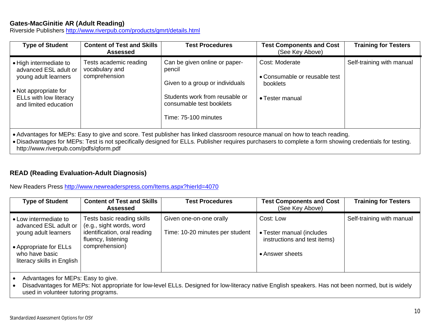## **Gates-MacGinitie AR (Adult Reading)**

Riverside Publishers http://www.riverpub.com/products/gmrt/details.html

| <b>Type of Student</b>                                                                                                                              | <b>Content of Test and Skills</b><br><b>Assessed</b>      | <b>Test Procedures</b>                                                                                                                                           | <b>Test Components and Cost</b><br>(See Key Above)                                    | <b>Training for Testers</b> |
|-----------------------------------------------------------------------------------------------------------------------------------------------------|-----------------------------------------------------------|------------------------------------------------------------------------------------------------------------------------------------------------------------------|---------------------------------------------------------------------------------------|-----------------------------|
| • High intermediate to<br>advanced ESL adult or<br>young adult learners<br>• Not appropriate for<br>ELLs with low literacy<br>and limited education | Tests academic reading<br>vocabulary and<br>comprehension | Can be given online or paper-<br>pencil<br>Given to a group or individuals<br>Students work from reusable or<br>consumable test booklets<br>Time: 75-100 minutes | Cost: Moderate<br>• Consumable or reusable test<br><b>booklets</b><br>• Tester manual | Self-training with manual   |

Advantages for MEPs: Easy to give and score. Test publisher has linked classroom resource manual on how to teach reading.

 Disadvantages for MEPs: Test is not specifically designed for ELLs. Publisher requires purchasers to complete a form showing credentials for testing. http://www.riverpub.com/pdfs/qform.pdf

## **READ (Reading Evaluation-Adult Diagnosis)**

New Readers Press http://www.newreaderspress.com/Items.aspx?hierId=4070

| <b>Type of Student</b>                                                                                             | <b>Content of Test and Skills</b><br>Assessed                                                                                  | <b>Test Procedures</b>                                     | <b>Test Components and Cost</b><br>(See Key Above)                                        | <b>Training for Testers</b> |
|--------------------------------------------------------------------------------------------------------------------|--------------------------------------------------------------------------------------------------------------------------------|------------------------------------------------------------|-------------------------------------------------------------------------------------------|-----------------------------|
| • Low intermediate to<br>advanced ESL adult or<br>young adult learners<br>• Appropriate for ELLs<br>who have basic | Tests basic reading skills<br>(e.g., sight words, word<br>identification, oral reading<br>fluency, listening<br>comprehension) | Given one-on-one orally<br>Time: 10-20 minutes per student | Cost: Low<br>• Tester manual (includes<br>instructions and test items)<br>• Answer sheets | Self-training with manual   |
| literacy skills in English                                                                                         |                                                                                                                                |                                                            |                                                                                           |                             |

Advantages for MEPs: Easy to give.

 Disadvantages for MEPs: Not appropriate for low-level ELLs. Designed for low-literacy native English speakers. Has not been normed, but is widely used in volunteer tutoring programs.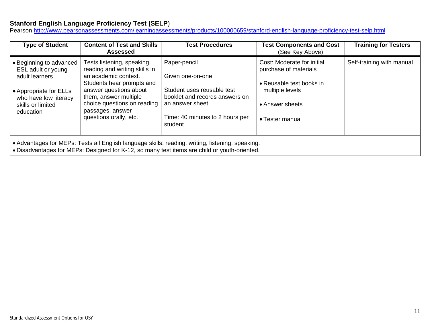## **Stanford English Language Proficiency Test (SELP**)

Pearson http://www.pearsonassessments.com/learningassessments/products/100000659/stanford-english-language-proficiency-test-selp.html

| <b>Type of Student</b>                                                                                                                                                                           | <b>Content of Test and Skills</b><br><b>Assessed</b>                                                                                                                                                                                             | <b>Test Procedures</b>                                                                                                                                            | <b>Test Components and Cost</b><br>(See Key Above)                                                                                       | <b>Training for Testers</b> |  |
|--------------------------------------------------------------------------------------------------------------------------------------------------------------------------------------------------|--------------------------------------------------------------------------------------------------------------------------------------------------------------------------------------------------------------------------------------------------|-------------------------------------------------------------------------------------------------------------------------------------------------------------------|------------------------------------------------------------------------------------------------------------------------------------------|-----------------------------|--|
| • Beginning to advanced<br>ESL adult or young<br>adult learners<br>• Appropriate for ELLs<br>who have low literacy<br>skills or limited<br>education                                             | Tests listening, speaking,<br>reading and writing skills in<br>an academic context.<br>Students hear prompts and<br>answer questions about<br>them, answer multiple<br>choice questions on reading<br>passages, answer<br>questions orally, etc. | Paper-pencil<br>Given one-on-one<br>Student uses reusable test<br>booklet and records answers on<br>an answer sheet<br>Time: 40 minutes to 2 hours per<br>student | Cost: Moderate for initial<br>purchase of materials<br>• Reusable test books in<br>multiple levels<br>• Answer sheets<br>• Tester manual | Self-training with manual   |  |
| • Advantages for MEPs: Tests all English language skills: reading, writing, listening, speaking.<br>. Disadvantages for MEPs: Designed for K-12, so many test items are child or youth-oriented. |                                                                                                                                                                                                                                                  |                                                                                                                                                                   |                                                                                                                                          |                             |  |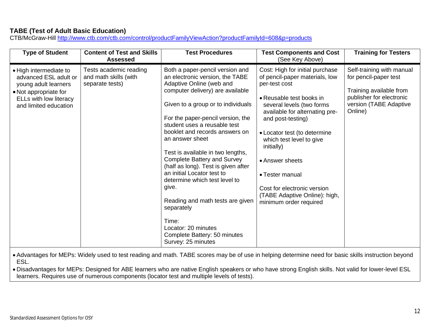## **TABE (Test of Adult Basic Education)**

CTB/McGraw-Hill http://www.ctb.com/ctb.com/control/productFamilyViewAction?productFamilyId=608&p=products

| <b>Type of Student</b>                                                                                                                              | <b>Content of Test and Skills</b><br><b>Assessed</b>               | <b>Test Procedures</b>                                                                                                                                                                                                                                                                                                                                                                                                                                                                                                                                                                                                               | <b>Test Components and Cost</b><br>(See Key Above)                                                                                                                                                                                                                                                                                                                                                           | <b>Training for Testers</b>                                                                                                                    |
|-----------------------------------------------------------------------------------------------------------------------------------------------------|--------------------------------------------------------------------|--------------------------------------------------------------------------------------------------------------------------------------------------------------------------------------------------------------------------------------------------------------------------------------------------------------------------------------------------------------------------------------------------------------------------------------------------------------------------------------------------------------------------------------------------------------------------------------------------------------------------------------|--------------------------------------------------------------------------------------------------------------------------------------------------------------------------------------------------------------------------------------------------------------------------------------------------------------------------------------------------------------------------------------------------------------|------------------------------------------------------------------------------------------------------------------------------------------------|
| • High intermediate to<br>advanced ESL adult or<br>young adult learners<br>• Not appropriate for<br>ELLs with low literacy<br>and limited education | Tests academic reading<br>and math skills (with<br>separate tests) | Both a paper-pencil version and<br>an electronic version, the TABE<br>Adaptive Online (web and<br>computer delivery) are available<br>Given to a group or to individuals<br>For the paper-pencil version, the<br>student uses a reusable test<br>booklet and records answers on<br>an answer sheet<br>Test is available in two lengths,<br><b>Complete Battery and Survey</b><br>(half as long). Test is given after<br>an initial Locator test to<br>determine which test level to<br>give.<br>Reading and math tests are given<br>separately<br>Time:<br>Locator: 20 minutes<br>Complete Battery: 50 minutes<br>Survey: 25 minutes | Cost: High for initial purchase<br>of pencil-paper materials, low<br>per-test cost<br>• Reusable test books in<br>several levels (two forms<br>available for alternating pre-<br>and post-testing)<br>• Locator test (to determine<br>which test level to give<br>initially)<br>• Answer sheets<br>• Tester manual<br>Cost for electronic version<br>(TABE Adaptive Online): high,<br>minimum order required | Self-training with manual<br>for pencil-paper test<br>Training available from<br>publisher for electronic<br>version (TABE Adaptive<br>Online) |

 Advantages for MEPs: Widely used to test reading and math. TABE scores may be of use in helping determine need for basic skills instruction beyond ESL.

 Disadvantages for MEPs: Designed for ABE learners who are native English speakers or who have strong English skills. Not valid for lower-level ESL learners. Requires use of numerous components (locator test and multiple levels of tests).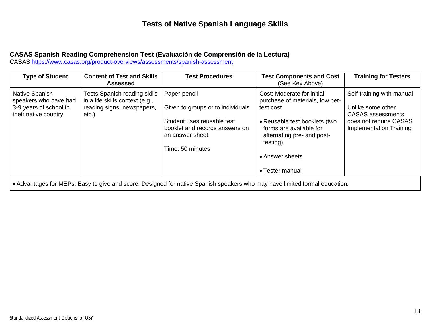# **Tests of Native Spanish Language Skills**

#### **CASAS Spanish Reading Comprehension Test (Evaluación de Comprensión de la Lectura)**

CASAS https://www.casas.org/product-overviews/assessments/spanish-assessment

| <b>Type of Student</b>                                                                    | <b>Content of Test and Skills</b><br><b>Assessed</b>                                                             | <b>Test Procedures</b>                                                                                                                                   | <b>Test Components and Cost</b><br>(See Key Above)                                                                                                                                                                     | <b>Training for Testers</b>                                                                                                      |
|-------------------------------------------------------------------------------------------|------------------------------------------------------------------------------------------------------------------|----------------------------------------------------------------------------------------------------------------------------------------------------------|------------------------------------------------------------------------------------------------------------------------------------------------------------------------------------------------------------------------|----------------------------------------------------------------------------------------------------------------------------------|
| Native Spanish<br>speakers who have had<br>3-9 years of school in<br>their native country | <b>Tests Spanish reading skills</b><br>in a life skills context (e.g.,<br>reading signs, newspapers,<br>$etc.$ ) | Paper-pencil<br>Given to groups or to individuals<br>Student uses reusable test<br>booklet and records answers on<br>an answer sheet<br>Time: 50 minutes | Cost: Moderate for initial<br>purchase of materials, low per-<br>test cost<br>• Reusable test booklets (two<br>forms are available for<br>alternating pre- and post-<br>testing)<br>• Answer sheets<br>• Tester manual | Self-training with manual<br>Unlike some other<br>CASAS assessments,<br>does not require CASAS<br><b>Implementation Training</b> |

Advantages for MEPs: Easy to give and score. Designed for native Spanish speakers who may have limited formal education.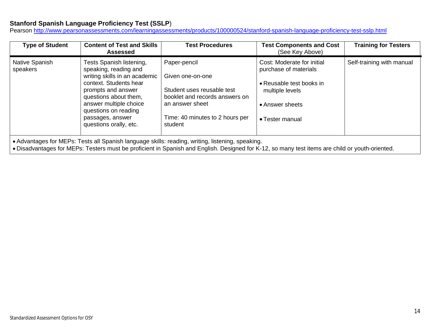#### **Stanford Spanish Language Proficiency Test (SSLP**)

Pearson http://www.pearsonassessments.com/learningassessments/products/100000524/stanford-spanish-language-proficiency-test-sslp.html

| <b>Type of Student</b>                                                                                                                                                                                                                              | <b>Content of Test and Skills</b><br><b>Assessed</b>                                                                                                                                                                                                        | <b>Test Procedures</b>                                                                                                                                            | <b>Test Components and Cost</b><br>(See Key Above)                                                                                       | <b>Training for Testers</b> |
|-----------------------------------------------------------------------------------------------------------------------------------------------------------------------------------------------------------------------------------------------------|-------------------------------------------------------------------------------------------------------------------------------------------------------------------------------------------------------------------------------------------------------------|-------------------------------------------------------------------------------------------------------------------------------------------------------------------|------------------------------------------------------------------------------------------------------------------------------------------|-----------------------------|
| Native Spanish<br>speakers                                                                                                                                                                                                                          | Tests Spanish listening,<br>speaking, reading and<br>writing skills in an academic<br>context. Students hear<br>prompts and answer<br>questions about them,<br>answer multiple choice<br>questions on reading<br>passages, answer<br>questions orally, etc. | Paper-pencil<br>Given one-on-one<br>Student uses reusable test<br>booklet and records answers on<br>an answer sheet<br>Time: 40 minutes to 2 hours per<br>student | Cost: Moderate for initial<br>purchase of materials<br>• Reusable test books in<br>multiple levels<br>• Answer sheets<br>• Tester manual | Self-training with manual   |
| • Advantages for MEPs: Tests all Spanish language skills: reading, writing, listening, speaking.<br>• Disadvantages for MEPs: Testers must be proficient in Spanish and English. Designed for K-12, so many test items are child or youth-oriented. |                                                                                                                                                                                                                                                             |                                                                                                                                                                   |                                                                                                                                          |                             |